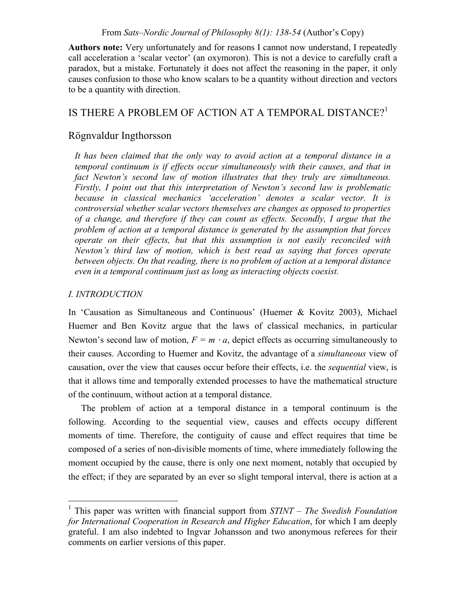## From *Sats–Nordic Journal of Philosophy 8(1): 138-54* (Author's Copy)

**Authors note:** Very unfortunately and for reasons I cannot now understand, I repeatedly call acceleration a 'scalar vector' (an oxymoron). This is not a device to carefully craft a paradox, but a mistake. Fortunately it does not affect the reasoning in the paper, it only causes confusion to those who know scalars to be a quantity without direction and vectors to be a quantity with direction.

# IS THERE A PROBLEM OF ACTION AT A TEMPORAL DISTANCE?<sup>1</sup>

# Rögnvaldur Ingthorsson

*It has been claimed that the only way to avoid action at a temporal distance in a temporal continuum is if effects occur simultaneously with their causes, and that in fact Newton's second law of motion illustrates that they truly are simultaneous. Firstly, I point out that this interpretation of Newton's second law is problematic because in classical mechanics 'acceleration' denotes a scalar vector. It is controversial whether scalar vectors themselves are changes as opposed to properties of a change, and therefore if they can count as effects. Secondly, I argue that the problem of action at a temporal distance is generated by the assumption that forces operate on their effects, but that this assumption is not easily reconciled with Newton's third law of motion, which is best read as saying that forces operate between objects. On that reading, there is no problem of action at a temporal distance even in a temporal continuum just as long as interacting objects coexist.*

## *I. INTRODUCTION*

In 'Causation as Simultaneous and Continuous' (Huemer & Kovitz 2003), Michael Huemer and Ben Kovitz argue that the laws of classical mechanics, in particular Newton's second law of motion,  $F = m \cdot a$ , depict effects as occurring simultaneously to their causes. According to Huemer and Kovitz, the advantage of a *simultaneous* view of causation, over the view that causes occur before their effects, i.e. the *sequential* view, is that it allows time and temporally extended processes to have the mathematical structure of the continuum, without action at a temporal distance.

The problem of action at a temporal distance in a temporal continuum is the following. According to the sequential view, causes and effects occupy different moments of time. Therefore, the contiguity of cause and effect requires that time be composed of a series of non-divisible moments of time, where immediately following the moment occupied by the cause, there is only one next moment, notably that occupied by the effect; if they are separated by an ever so slight temporal interval, there is action at a

 <sup>1</sup> This paper was written with financial support from *STINT – The Swedish Foundation for International Cooperation in Research and Higher Education*, for which I am deeply grateful. I am also indebted to Ingvar Johansson and two anonymous referees for their comments on earlier versions of this paper.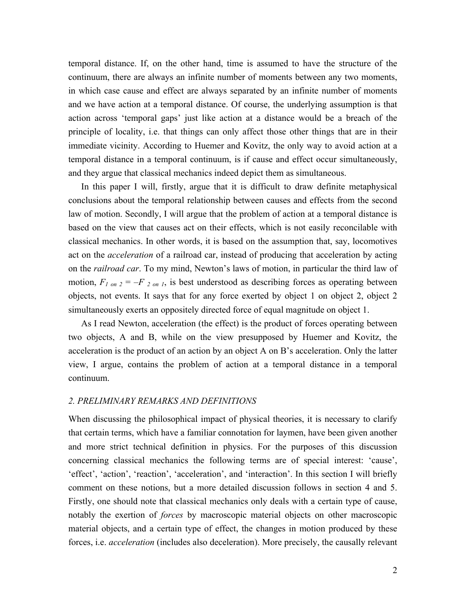temporal distance. If, on the other hand, time is assumed to have the structure of the continuum, there are always an infinite number of moments between any two moments, in which case cause and effect are always separated by an infinite number of moments and we have action at a temporal distance. Of course, the underlying assumption is that action across 'temporal gaps' just like action at a distance would be a breach of the principle of locality, i.e. that things can only affect those other things that are in their immediate vicinity. According to Huemer and Kovitz, the only way to avoid action at a temporal distance in a temporal continuum, is if cause and effect occur simultaneously, and they argue that classical mechanics indeed depict them as simultaneous.

In this paper I will, firstly, argue that it is difficult to draw definite metaphysical conclusions about the temporal relationship between causes and effects from the second law of motion. Secondly, I will argue that the problem of action at a temporal distance is based on the view that causes act on their effects, which is not easily reconcilable with classical mechanics. In other words, it is based on the assumption that, say, locomotives act on the *acceleration* of a railroad car, instead of producing that acceleration by acting on the *railroad car*. To my mind, Newton's laws of motion, in particular the third law of motion,  $F_{1 \text{ on } 2} = -F_{2 \text{ on } 1}$ , is best understood as describing forces as operating between objects, not events. It says that for any force exerted by object 1 on object 2, object 2 simultaneously exerts an oppositely directed force of equal magnitude on object 1.

As I read Newton, acceleration (the effect) is the product of forces operating between two objects, A and B, while on the view presupposed by Huemer and Kovitz, the acceleration is the product of an action by an object A on B's acceleration. Only the latter view, I argue, contains the problem of action at a temporal distance in a temporal continuum.

#### *2. PRELIMINARY REMARKS AND DEFINITIONS*

When discussing the philosophical impact of physical theories, it is necessary to clarify that certain terms, which have a familiar connotation for laymen, have been given another and more strict technical definition in physics. For the purposes of this discussion concerning classical mechanics the following terms are of special interest: 'cause', 'effect', 'action', 'reaction', 'acceleration', and 'interaction'. In this section I will briefly comment on these notions, but a more detailed discussion follows in section 4 and 5. Firstly, one should note that classical mechanics only deals with a certain type of cause, notably the exertion of *forces* by macroscopic material objects on other macroscopic material objects, and a certain type of effect, the changes in motion produced by these forces, i.e. *acceleration* (includes also deceleration). More precisely, the causally relevant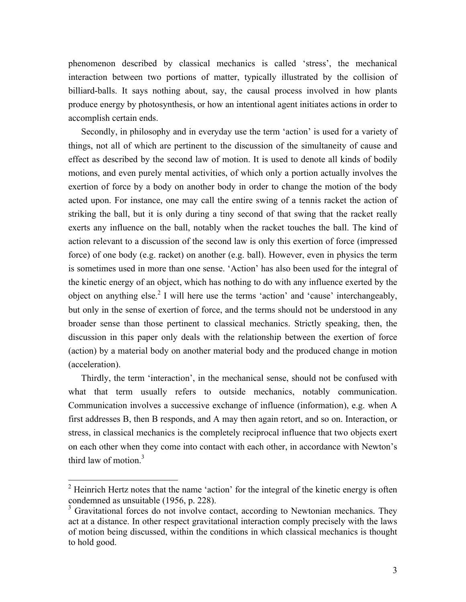phenomenon described by classical mechanics is called 'stress', the mechanical interaction between two portions of matter, typically illustrated by the collision of billiard-balls. It says nothing about, say, the causal process involved in how plants produce energy by photosynthesis, or how an intentional agent initiates actions in order to accomplish certain ends.

Secondly, in philosophy and in everyday use the term 'action' is used for a variety of things, not all of which are pertinent to the discussion of the simultaneity of cause and effect as described by the second law of motion. It is used to denote all kinds of bodily motions, and even purely mental activities, of which only a portion actually involves the exertion of force by a body on another body in order to change the motion of the body acted upon. For instance, one may call the entire swing of a tennis racket the action of striking the ball, but it is only during a tiny second of that swing that the racket really exerts any influence on the ball, notably when the racket touches the ball. The kind of action relevant to a discussion of the second law is only this exertion of force (impressed force) of one body (e.g. racket) on another (e.g. ball). However, even in physics the term is sometimes used in more than one sense. 'Action' has also been used for the integral of the kinetic energy of an object, which has nothing to do with any influence exerted by the object on anything else.<sup>2</sup> I will here use the terms 'action' and 'cause' interchangeably, but only in the sense of exertion of force, and the terms should not be understood in any broader sense than those pertinent to classical mechanics. Strictly speaking, then, the discussion in this paper only deals with the relationship between the exertion of force (action) by a material body on another material body and the produced change in motion (acceleration).

Thirdly, the term 'interaction', in the mechanical sense, should not be confused with what that term usually refers to outside mechanics, notably communication. Communication involves a successive exchange of influence (information), e.g. when A first addresses B, then B responds, and A may then again retort, and so on. Interaction, or stress, in classical mechanics is the completely reciprocal influence that two objects exert on each other when they come into contact with each other, in accordance with Newton's third law of motion  $3$ 

 $2$  Heinrich Hertz notes that the name 'action' for the integral of the kinetic energy is often condemned as unsuitable (1956, p. 228).

<sup>&</sup>lt;sup>3</sup> Gravitational forces do not involve contact, according to Newtonian mechanics. They act at a distance. In other respect gravitational interaction comply precisely with the laws of motion being discussed, within the conditions in which classical mechanics is thought to hold good.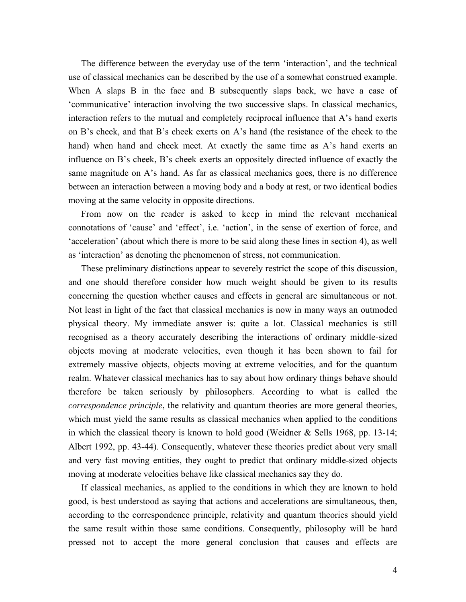The difference between the everyday use of the term 'interaction', and the technical use of classical mechanics can be described by the use of a somewhat construed example. When A slaps B in the face and B subsequently slaps back, we have a case of 'communicative' interaction involving the two successive slaps. In classical mechanics, interaction refers to the mutual and completely reciprocal influence that A's hand exerts on B's cheek, and that B's cheek exerts on A's hand (the resistance of the cheek to the hand) when hand and cheek meet. At exactly the same time as A's hand exerts an influence on B's cheek, B's cheek exerts an oppositely directed influence of exactly the same magnitude on A's hand. As far as classical mechanics goes, there is no difference between an interaction between a moving body and a body at rest, or two identical bodies moving at the same velocity in opposite directions.

From now on the reader is asked to keep in mind the relevant mechanical connotations of 'cause' and 'effect', i.e. 'action', in the sense of exertion of force, and 'acceleration' (about which there is more to be said along these lines in section 4), as well as 'interaction' as denoting the phenomenon of stress, not communication.

These preliminary distinctions appear to severely restrict the scope of this discussion, and one should therefore consider how much weight should be given to its results concerning the question whether causes and effects in general are simultaneous or not. Not least in light of the fact that classical mechanics is now in many ways an outmoded physical theory. My immediate answer is: quite a lot. Classical mechanics is still recognised as a theory accurately describing the interactions of ordinary middle-sized objects moving at moderate velocities, even though it has been shown to fail for extremely massive objects, objects moving at extreme velocities, and for the quantum realm. Whatever classical mechanics has to say about how ordinary things behave should therefore be taken seriously by philosophers. According to what is called the *correspondence principle*, the relativity and quantum theories are more general theories, which must yield the same results as classical mechanics when applied to the conditions in which the classical theory is known to hold good (Weidner & Sells 1968, pp. 13-14; Albert 1992, pp. 43-44). Consequently, whatever these theories predict about very small and very fast moving entities, they ought to predict that ordinary middle-sized objects moving at moderate velocities behave like classical mechanics say they do.

If classical mechanics, as applied to the conditions in which they are known to hold good, is best understood as saying that actions and accelerations are simultaneous, then, according to the correspondence principle, relativity and quantum theories should yield the same result within those same conditions. Consequently, philosophy will be hard pressed not to accept the more general conclusion that causes and effects are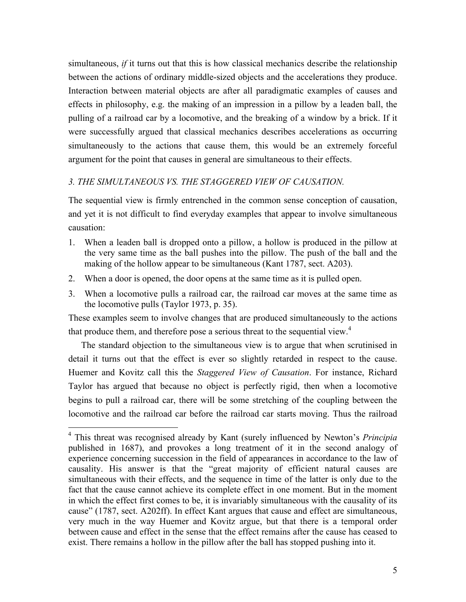simultaneous, *if* it turns out that this is how classical mechanics describe the relationship between the actions of ordinary middle-sized objects and the accelerations they produce. Interaction between material objects are after all paradigmatic examples of causes and effects in philosophy, e.g. the making of an impression in a pillow by a leaden ball, the pulling of a railroad car by a locomotive, and the breaking of a window by a brick. If it were successfully argued that classical mechanics describes accelerations as occurring simultaneously to the actions that cause them, this would be an extremely forceful argument for the point that causes in general are simultaneous to their effects.

# *3. THE SIMULTANEOUS VS. THE STAGGERED VIEW OF CAUSATION.*

The sequential view is firmly entrenched in the common sense conception of causation, and yet it is not difficult to find everyday examples that appear to involve simultaneous causation:

- 1. When a leaden ball is dropped onto a pillow, a hollow is produced in the pillow at the very same time as the ball pushes into the pillow. The push of the ball and the making of the hollow appear to be simultaneous (Kant 1787, sect. A203).
- 2. When a door is opened, the door opens at the same time as it is pulled open.
- 3. When a locomotive pulls a railroad car, the railroad car moves at the same time as the locomotive pulls (Taylor 1973, p. 35).

These examples seem to involve changes that are produced simultaneously to the actions that produce them, and therefore pose a serious threat to the sequential view.<sup>4</sup>

The standard objection to the simultaneous view is to argue that when scrutinised in detail it turns out that the effect is ever so slightly retarded in respect to the cause. Huemer and Kovitz call this the *Staggered View of Causation*. For instance, Richard Taylor has argued that because no object is perfectly rigid, then when a locomotive begins to pull a railroad car, there will be some stretching of the coupling between the locomotive and the railroad car before the railroad car starts moving. Thus the railroad

 <sup>4</sup> This threat was recognised already by Kant (surely influenced by Newton's *Principia* published in 1687), and provokes a long treatment of it in the second analogy of experience concerning succession in the field of appearances in accordance to the law of causality. His answer is that the "great majority of efficient natural causes are simultaneous with their effects, and the sequence in time of the latter is only due to the fact that the cause cannot achieve its complete effect in one moment. But in the moment in which the effect first comes to be, it is invariably simultaneous with the causality of its cause" (1787, sect. A202ff). In effect Kant argues that cause and effect are simultaneous, very much in the way Huemer and Kovitz argue, but that there is a temporal order between cause and effect in the sense that the effect remains after the cause has ceased to exist. There remains a hollow in the pillow after the ball has stopped pushing into it.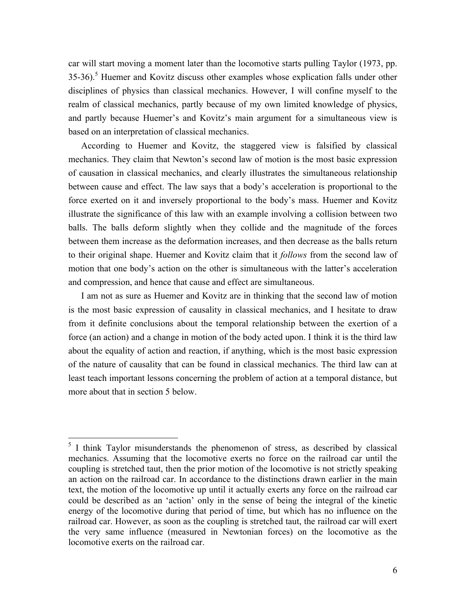car will start moving a moment later than the locomotive starts pulling Taylor (1973, pp. 35-36).<sup>5</sup> Huemer and Kovitz discuss other examples whose explication falls under other disciplines of physics than classical mechanics. However, I will confine myself to the realm of classical mechanics, partly because of my own limited knowledge of physics, and partly because Huemer's and Kovitz's main argument for a simultaneous view is based on an interpretation of classical mechanics.

According to Huemer and Kovitz, the staggered view is falsified by classical mechanics. They claim that Newton's second law of motion is the most basic expression of causation in classical mechanics, and clearly illustrates the simultaneous relationship between cause and effect. The law says that a body's acceleration is proportional to the force exerted on it and inversely proportional to the body's mass. Huemer and Kovitz illustrate the significance of this law with an example involving a collision between two balls. The balls deform slightly when they collide and the magnitude of the forces between them increase as the deformation increases, and then decrease as the balls return to their original shape. Huemer and Kovitz claim that it *follows* from the second law of motion that one body's action on the other is simultaneous with the latter's acceleration and compression, and hence that cause and effect are simultaneous.

I am not as sure as Huemer and Kovitz are in thinking that the second law of motion is the most basic expression of causality in classical mechanics, and I hesitate to draw from it definite conclusions about the temporal relationship between the exertion of a force (an action) and a change in motion of the body acted upon. I think it is the third law about the equality of action and reaction, if anything, which is the most basic expression of the nature of causality that can be found in classical mechanics. The third law can at least teach important lessons concerning the problem of action at a temporal distance, but more about that in section 5 below.

<sup>&</sup>lt;sup>5</sup> I think Taylor misunderstands the phenomenon of stress, as described by classical mechanics. Assuming that the locomotive exerts no force on the railroad car until the coupling is stretched taut, then the prior motion of the locomotive is not strictly speaking an action on the railroad car. In accordance to the distinctions drawn earlier in the main text, the motion of the locomotive up until it actually exerts any force on the railroad car could be described as an 'action' only in the sense of being the integral of the kinetic energy of the locomotive during that period of time, but which has no influence on the railroad car. However, as soon as the coupling is stretched taut, the railroad car will exert the very same influence (measured in Newtonian forces) on the locomotive as the locomotive exerts on the railroad car.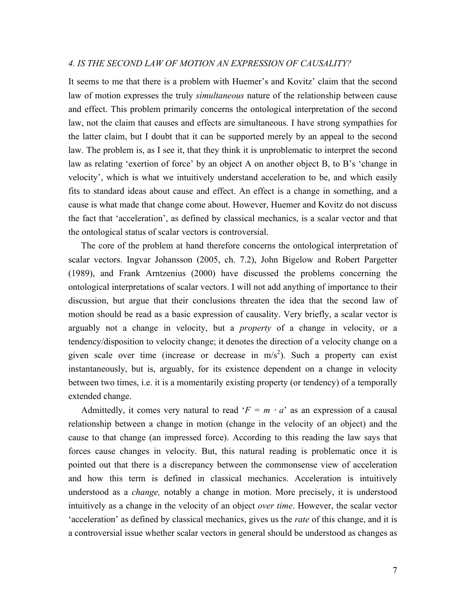## *4. IS THE SECOND LAW OF MOTION AN EXPRESSION OF CAUSALITY?*

It seems to me that there is a problem with Huemer's and Kovitz' claim that the second law of motion expresses the truly *simultaneous* nature of the relationship between cause and effect. This problem primarily concerns the ontological interpretation of the second law, not the claim that causes and effects are simultaneous. I have strong sympathies for the latter claim, but I doubt that it can be supported merely by an appeal to the second law. The problem is, as I see it, that they think it is unproblematic to interpret the second law as relating 'exertion of force' by an object A on another object B, to B's 'change in velocity', which is what we intuitively understand acceleration to be, and which easily fits to standard ideas about cause and effect. An effect is a change in something, and a cause is what made that change come about. However, Huemer and Kovitz do not discuss the fact that 'acceleration', as defined by classical mechanics, is a scalar vector and that the ontological status of scalar vectors is controversial.

The core of the problem at hand therefore concerns the ontological interpretation of scalar vectors. Ingvar Johansson (2005, ch. 7.2), John Bigelow and Robert Pargetter (1989), and Frank Arntzenius (2000) have discussed the problems concerning the ontological interpretations of scalar vectors. I will not add anything of importance to their discussion, but argue that their conclusions threaten the idea that the second law of motion should be read as a basic expression of causality. Very briefly, a scalar vector is arguably not a change in velocity, but a *property* of a change in velocity, or a tendency/disposition to velocity change; it denotes the direction of a velocity change on a given scale over time (increase or decrease in  $m/s<sup>2</sup>$ ). Such a property can exist instantaneously, but is, arguably, for its existence dependent on a change in velocity between two times, i.e. it is a momentarily existing property (or tendency) of a temporally extended change.

Admittedly, it comes very natural to read ' $F = m \cdot a$ ' as an expression of a causal relationship between a change in motion (change in the velocity of an object) and the cause to that change (an impressed force). According to this reading the law says that forces cause changes in velocity. But, this natural reading is problematic once it is pointed out that there is a discrepancy between the commonsense view of acceleration and how this term is defined in classical mechanics. Acceleration is intuitively understood as a *change,* notably a change in motion. More precisely, it is understood intuitively as a change in the velocity of an object *over time*. However, the scalar vector 'acceleration' as defined by classical mechanics, gives us the *rate* of this change, and it is a controversial issue whether scalar vectors in general should be understood as changes as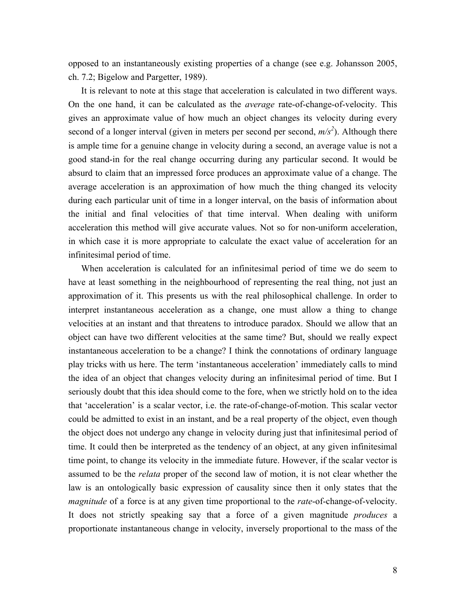opposed to an instantaneously existing properties of a change (see e.g. Johansson 2005, ch. 7.2; Bigelow and Pargetter, 1989).

It is relevant to note at this stage that acceleration is calculated in two different ways. On the one hand, it can be calculated as the *average* rate-of-change-of-velocity. This gives an approximate value of how much an object changes its velocity during every second of a longer interval (given in meters per second per second,  $m/s<sup>2</sup>$ ). Although there is ample time for a genuine change in velocity during a second, an average value is not a good stand-in for the real change occurring during any particular second. It would be absurd to claim that an impressed force produces an approximate value of a change. The average acceleration is an approximation of how much the thing changed its velocity during each particular unit of time in a longer interval, on the basis of information about the initial and final velocities of that time interval. When dealing with uniform acceleration this method will give accurate values. Not so for non-uniform acceleration, in which case it is more appropriate to calculate the exact value of acceleration for an infinitesimal period of time.

When acceleration is calculated for an infinitesimal period of time we do seem to have at least something in the neighbourhood of representing the real thing, not just an approximation of it. This presents us with the real philosophical challenge. In order to interpret instantaneous acceleration as a change, one must allow a thing to change velocities at an instant and that threatens to introduce paradox. Should we allow that an object can have two different velocities at the same time? But, should we really expect instantaneous acceleration to be a change? I think the connotations of ordinary language play tricks with us here. The term 'instantaneous acceleration' immediately calls to mind the idea of an object that changes velocity during an infinitesimal period of time. But I seriously doubt that this idea should come to the fore, when we strictly hold on to the idea that 'acceleration' is a scalar vector, i.e. the rate-of-change-of-motion. This scalar vector could be admitted to exist in an instant, and be a real property of the object, even though the object does not undergo any change in velocity during just that infinitesimal period of time. It could then be interpreted as the tendency of an object, at any given infinitesimal time point, to change its velocity in the immediate future. However, if the scalar vector is assumed to be the *relata* proper of the second law of motion, it is not clear whether the law is an ontologically basic expression of causality since then it only states that the *magnitude* of a force is at any given time proportional to the *rate*-of-change-of-velocity. It does not strictly speaking say that a force of a given magnitude *produces* a proportionate instantaneous change in velocity, inversely proportional to the mass of the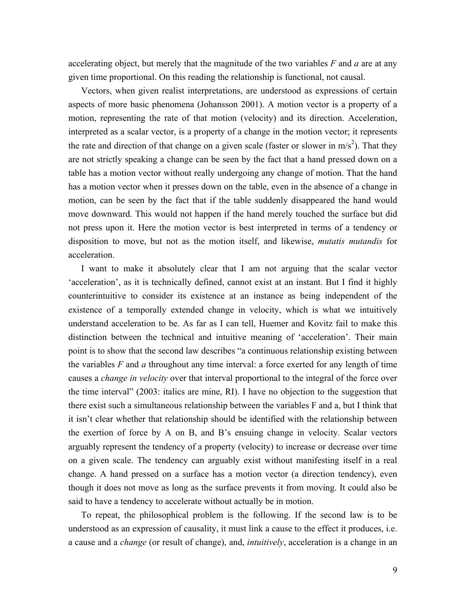accelerating object, but merely that the magnitude of the two variables *F* and *a* are at any given time proportional. On this reading the relationship is functional, not causal.

Vectors, when given realist interpretations, are understood as expressions of certain aspects of more basic phenomena (Johansson 2001). A motion vector is a property of a motion, representing the rate of that motion (velocity) and its direction. Acceleration, interpreted as a scalar vector, is a property of a change in the motion vector; it represents the rate and direction of that change on a given scale (faster or slower in  $m/s<sup>2</sup>$ ). That they are not strictly speaking a change can be seen by the fact that a hand pressed down on a table has a motion vector without really undergoing any change of motion. That the hand has a motion vector when it presses down on the table, even in the absence of a change in motion, can be seen by the fact that if the table suddenly disappeared the hand would move downward. This would not happen if the hand merely touched the surface but did not press upon it. Here the motion vector is best interpreted in terms of a tendency or disposition to move, but not as the motion itself, and likewise, *mutatis mutandis* for acceleration.

I want to make it absolutely clear that I am not arguing that the scalar vector 'acceleration', as it is technically defined, cannot exist at an instant. But I find it highly counterintuitive to consider its existence at an instance as being independent of the existence of a temporally extended change in velocity, which is what we intuitively understand acceleration to be. As far as I can tell, Huemer and Kovitz fail to make this distinction between the technical and intuitive meaning of 'acceleration'. Their main point is to show that the second law describes "a continuous relationship existing between the variables *F* and *a* throughout any time interval: a force exerted for any length of time causes a *change in velocity* over that interval proportional to the integral of the force over the time interval" (2003: italics are mine, RI). I have no objection to the suggestion that there exist such a simultaneous relationship between the variables F and a, but I think that it isn't clear whether that relationship should be identified with the relationship between the exertion of force by A on B, and B's ensuing change in velocity. Scalar vectors arguably represent the tendency of a property (velocity) to increase or decrease over time on a given scale. The tendency can arguably exist without manifesting itself in a real change. A hand pressed on a surface has a motion vector (a direction tendency), even though it does not move as long as the surface prevents it from moving. It could also be said to have a tendency to accelerate without actually be in motion.

To repeat, the philosophical problem is the following. If the second law is to be understood as an expression of causality, it must link a cause to the effect it produces, i.e. a cause and a *change* (or result of change), and, *intuitively*, acceleration is a change in an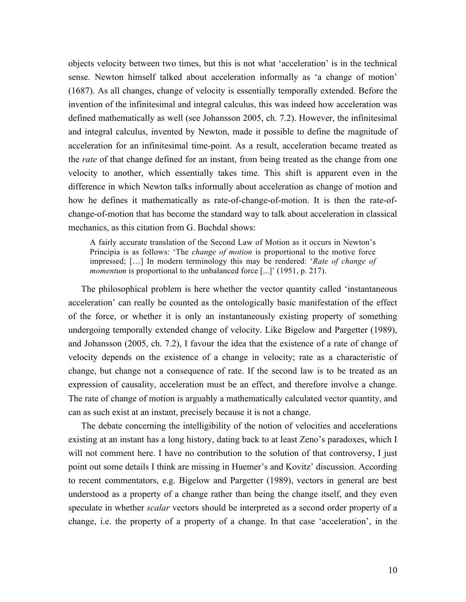objects velocity between two times, but this is not what 'acceleration' is in the technical sense. Newton himself talked about acceleration informally as 'a change of motion' (1687). As all changes, change of velocity is essentially temporally extended. Before the invention of the infinitesimal and integral calculus, this was indeed how acceleration was defined mathematically as well (see Johansson 2005, ch. 7.2). However, the infinitesimal and integral calculus, invented by Newton, made it possible to define the magnitude of acceleration for an infinitesimal time-point. As a result, acceleration became treated as the *rate* of that change defined for an instant, from being treated as the change from one velocity to another, which essentially takes time. This shift is apparent even in the difference in which Newton talks informally about acceleration as change of motion and how he defines it mathematically as rate-of-change-of-motion. It is then the rate-ofchange-of-motion that has become the standard way to talk about acceleration in classical mechanics, as this citation from G. Buchdal shows:

A fairly accurate translation of the Second Law of Motion as it occurs in Newton's Principia is as follows: 'The *change of motion* is proportional to the motive force impressed; […] In modern terminology this may be rendered: '*Rate of change of momentum* is proportional to the unbalanced force [...]' (1951, p. 217).

The philosophical problem is here whether the vector quantity called 'instantaneous acceleration' can really be counted as the ontologically basic manifestation of the effect of the force, or whether it is only an instantaneously existing property of something undergoing temporally extended change of velocity. Like Bigelow and Pargetter (1989), and Johansson (2005, ch. 7.2), I favour the idea that the existence of a rate of change of velocity depends on the existence of a change in velocity; rate as a characteristic of change, but change not a consequence of rate. If the second law is to be treated as an expression of causality, acceleration must be an effect, and therefore involve a change. The rate of change of motion is arguably a mathematically calculated vector quantity, and can as such exist at an instant, precisely because it is not a change.

The debate concerning the intelligibility of the notion of velocities and accelerations existing at an instant has a long history, dating back to at least Zeno's paradoxes, which I will not comment here. I have no contribution to the solution of that controversy, I just point out some details I think are missing in Huemer's and Kovitz' discussion. According to recent commentators, e.g. Bigelow and Pargetter (1989), vectors in general are best understood as a property of a change rather than being the change itself, and they even speculate in whether *scalar* vectors should be interpreted as a second order property of a change, i.e. the property of a property of a change. In that case 'acceleration', in the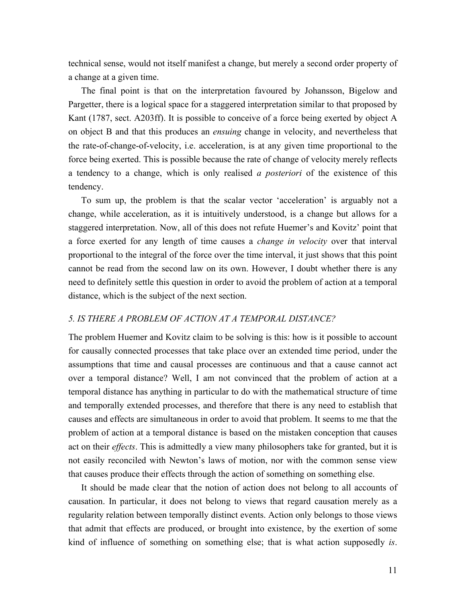technical sense, would not itself manifest a change, but merely a second order property of a change at a given time.

The final point is that on the interpretation favoured by Johansson, Bigelow and Pargetter, there is a logical space for a staggered interpretation similar to that proposed by Kant (1787, sect. A203ff). It is possible to conceive of a force being exerted by object A on object B and that this produces an *ensuing* change in velocity, and nevertheless that the rate-of-change-of-velocity, i.e. acceleration, is at any given time proportional to the force being exerted. This is possible because the rate of change of velocity merely reflects a tendency to a change, which is only realised *a posteriori* of the existence of this tendency.

To sum up, the problem is that the scalar vector 'acceleration' is arguably not a change, while acceleration, as it is intuitively understood, is a change but allows for a staggered interpretation. Now, all of this does not refute Huemer's and Kovitz' point that a force exerted for any length of time causes a *change in velocity* over that interval proportional to the integral of the force over the time interval, it just shows that this point cannot be read from the second law on its own. However, I doubt whether there is any need to definitely settle this question in order to avoid the problem of action at a temporal distance, which is the subject of the next section.

## *5. IS THERE A PROBLEM OF ACTION AT A TEMPORAL DISTANCE?*

The problem Huemer and Kovitz claim to be solving is this: how is it possible to account for causally connected processes that take place over an extended time period, under the assumptions that time and causal processes are continuous and that a cause cannot act over a temporal distance? Well, I am not convinced that the problem of action at a temporal distance has anything in particular to do with the mathematical structure of time and temporally extended processes, and therefore that there is any need to establish that causes and effects are simultaneous in order to avoid that problem. It seems to me that the problem of action at a temporal distance is based on the mistaken conception that causes act on their *effects*. This is admittedly a view many philosophers take for granted, but it is not easily reconciled with Newton's laws of motion, nor with the common sense view that causes produce their effects through the action of something on something else.

It should be made clear that the notion of action does not belong to all accounts of causation. In particular, it does not belong to views that regard causation merely as a regularity relation between temporally distinct events. Action only belongs to those views that admit that effects are produced, or brought into existence, by the exertion of some kind of influence of something on something else; that is what action supposedly *is*.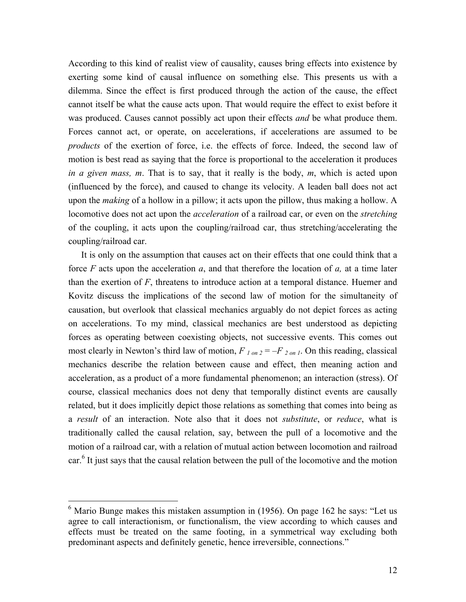According to this kind of realist view of causality, causes bring effects into existence by exerting some kind of causal influence on something else. This presents us with a dilemma. Since the effect is first produced through the action of the cause, the effect cannot itself be what the cause acts upon. That would require the effect to exist before it was produced. Causes cannot possibly act upon their effects *and* be what produce them. Forces cannot act, or operate, on accelerations, if accelerations are assumed to be *products* of the exertion of force, i.e. the effects of force. Indeed, the second law of motion is best read as saying that the force is proportional to the acceleration it produces *in a given mass, m*. That is to say, that it really is the body, *m*, which is acted upon (influenced by the force), and caused to change its velocity. A leaden ball does not act upon the *making* of a hollow in a pillow; it acts upon the pillow, thus making a hollow. A locomotive does not act upon the *acceleration* of a railroad car, or even on the *stretching* of the coupling, it acts upon the coupling/railroad car, thus stretching/accelerating the coupling/railroad car.

It is only on the assumption that causes act on their effects that one could think that a force *F* acts upon the acceleration *a*, and that therefore the location of *a,* at a time later than the exertion of *F*, threatens to introduce action at a temporal distance. Huemer and Kovitz discuss the implications of the second law of motion for the simultaneity of causation, but overlook that classical mechanics arguably do not depict forces as acting on accelerations. To my mind, classical mechanics are best understood as depicting forces as operating between coexisting objects, not successive events. This comes out most clearly in Newton's third law of motion,  $F_{1 \text{ on } 2} = -F_{2 \text{ on } 1}$ . On this reading, classical mechanics describe the relation between cause and effect, then meaning action and acceleration, as a product of a more fundamental phenomenon; an interaction (stress). Of course, classical mechanics does not deny that temporally distinct events are causally related, but it does implicitly depict those relations as something that comes into being as a *result* of an interaction. Note also that it does not *substitute*, or *reduce*, what is traditionally called the causal relation, say, between the pull of a locomotive and the motion of a railroad car, with a relation of mutual action between locomotion and railroad car.<sup>6</sup> It just says that the causal relation between the pull of the locomotive and the motion

 $6$  Mario Bunge makes this mistaken assumption in (1956). On page 162 he says: "Let us agree to call interactionism, or functionalism, the view according to which causes and effects must be treated on the same footing, in a symmetrical way excluding both predominant aspects and definitely genetic, hence irreversible, connections."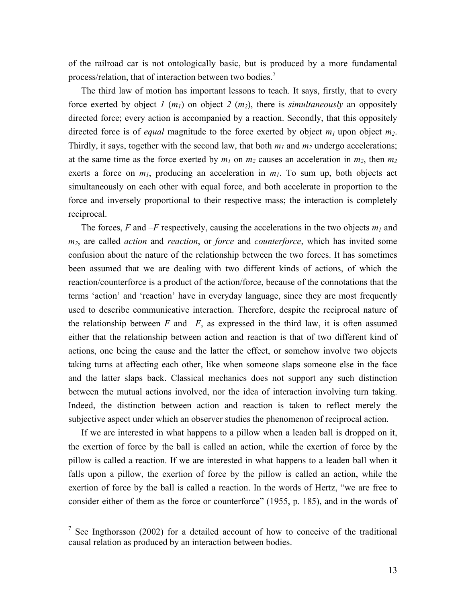of the railroad car is not ontologically basic, but is produced by a more fundamental process/relation, that of interaction between two bodies.<sup>7</sup>

The third law of motion has important lessons to teach. It says, firstly, that to every force exerted by object *1*  $(m_1)$  on object 2  $(m_2)$ , there is *simultaneously* an oppositely directed force; every action is accompanied by a reaction. Secondly, that this oppositely directed force is of *equal* magnitude to the force exerted by object  $m_1$  upon object  $m_2$ . Thirdly, it says, together with the second law, that both  $m_1$  and  $m_2$  undergo accelerations; at the same time as the force exerted by  $m_1$  on  $m_2$  causes an acceleration in  $m_2$ , then  $m_2$ exerts a force on  $m_l$ , producing an acceleration in  $m_l$ . To sum up, both objects act simultaneously on each other with equal force, and both accelerate in proportion to the force and inversely proportional to their respective mass; the interaction is completely reciprocal.

The forces, *F* and  $-F$  respectively, causing the accelerations in the two objects  $m_1$  and *m2*, are called *action* and *reaction*, or *force* and *counterforce*, which has invited some confusion about the nature of the relationship between the two forces. It has sometimes been assumed that we are dealing with two different kinds of actions, of which the reaction/counterforce is a product of the action/force, because of the connotations that the terms 'action' and 'reaction' have in everyday language, since they are most frequently used to describe communicative interaction. Therefore, despite the reciprocal nature of the relationship between  $F$  and  $-F$ , as expressed in the third law, it is often assumed either that the relationship between action and reaction is that of two different kind of actions, one being the cause and the latter the effect, or somehow involve two objects taking turns at affecting each other, like when someone slaps someone else in the face and the latter slaps back. Classical mechanics does not support any such distinction between the mutual actions involved, nor the idea of interaction involving turn taking. Indeed, the distinction between action and reaction is taken to reflect merely the subjective aspect under which an observer studies the phenomenon of reciprocal action.

If we are interested in what happens to a pillow when a leaden ball is dropped on it, the exertion of force by the ball is called an action, while the exertion of force by the pillow is called a reaction. If we are interested in what happens to a leaden ball when it falls upon a pillow, the exertion of force by the pillow is called an action, while the exertion of force by the ball is called a reaction. In the words of Hertz, "we are free to consider either of them as the force or counterforce" (1955, p. 185), and in the words of

 $7$  See Ingthorsson (2002) for a detailed account of how to conceive of the traditional causal relation as produced by an interaction between bodies.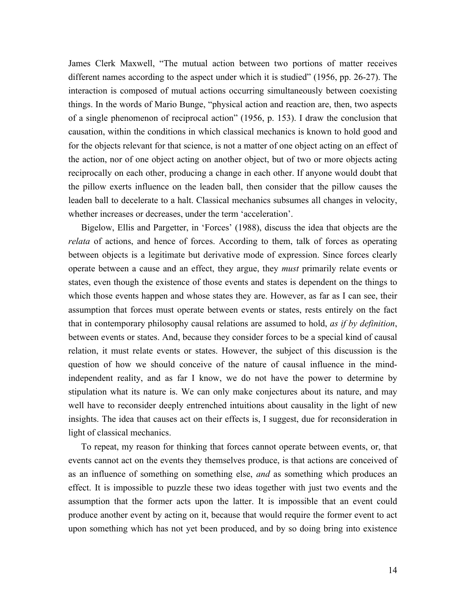James Clerk Maxwell, "The mutual action between two portions of matter receives different names according to the aspect under which it is studied" (1956, pp. 26-27). The interaction is composed of mutual actions occurring simultaneously between coexisting things. In the words of Mario Bunge, "physical action and reaction are, then, two aspects of a single phenomenon of reciprocal action" (1956, p. 153). I draw the conclusion that causation, within the conditions in which classical mechanics is known to hold good and for the objects relevant for that science, is not a matter of one object acting on an effect of the action, nor of one object acting on another object, but of two or more objects acting reciprocally on each other, producing a change in each other. If anyone would doubt that the pillow exerts influence on the leaden ball, then consider that the pillow causes the leaden ball to decelerate to a halt. Classical mechanics subsumes all changes in velocity, whether increases or decreases, under the term 'acceleration'.

Bigelow, Ellis and Pargetter, in 'Forces' (1988), discuss the idea that objects are the *relata* of actions, and hence of forces. According to them, talk of forces as operating between objects is a legitimate but derivative mode of expression. Since forces clearly operate between a cause and an effect, they argue, they *must* primarily relate events or states, even though the existence of those events and states is dependent on the things to which those events happen and whose states they are. However, as far as I can see, their assumption that forces must operate between events or states, rests entirely on the fact that in contemporary philosophy causal relations are assumed to hold, *as if by definition*, between events or states. And, because they consider forces to be a special kind of causal relation, it must relate events or states. However, the subject of this discussion is the question of how we should conceive of the nature of causal influence in the mindindependent reality, and as far I know, we do not have the power to determine by stipulation what its nature is. We can only make conjectures about its nature, and may well have to reconsider deeply entrenched intuitions about causality in the light of new insights. The idea that causes act on their effects is, I suggest, due for reconsideration in light of classical mechanics.

To repeat, my reason for thinking that forces cannot operate between events, or, that events cannot act on the events they themselves produce, is that actions are conceived of as an influence of something on something else, *and* as something which produces an effect. It is impossible to puzzle these two ideas together with just two events and the assumption that the former acts upon the latter. It is impossible that an event could produce another event by acting on it, because that would require the former event to act upon something which has not yet been produced, and by so doing bring into existence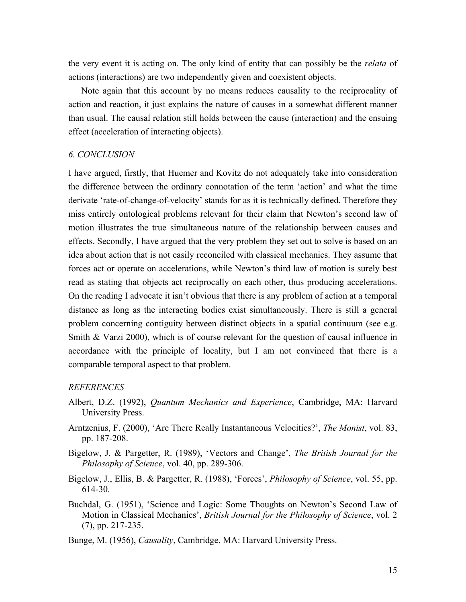the very event it is acting on. The only kind of entity that can possibly be the *relata* of actions (interactions) are two independently given and coexistent objects.

Note again that this account by no means reduces causality to the reciprocality of action and reaction, it just explains the nature of causes in a somewhat different manner than usual. The causal relation still holds between the cause (interaction) and the ensuing effect (acceleration of interacting objects).

## *6. CONCLUSION*

I have argued, firstly, that Huemer and Kovitz do not adequately take into consideration the difference between the ordinary connotation of the term 'action' and what the time derivate 'rate-of-change-of-velocity' stands for as it is technically defined. Therefore they miss entirely ontological problems relevant for their claim that Newton's second law of motion illustrates the true simultaneous nature of the relationship between causes and effects. Secondly, I have argued that the very problem they set out to solve is based on an idea about action that is not easily reconciled with classical mechanics. They assume that forces act or operate on accelerations, while Newton's third law of motion is surely best read as stating that objects act reciprocally on each other, thus producing accelerations. On the reading I advocate it isn't obvious that there is any problem of action at a temporal distance as long as the interacting bodies exist simultaneously. There is still a general problem concerning contiguity between distinct objects in a spatial continuum (see e.g. Smith & Varzi 2000), which is of course relevant for the question of causal influence in accordance with the principle of locality, but I am not convinced that there is a comparable temporal aspect to that problem.

#### *REFERENCES*

- Albert, D.Z. (1992), *Quantum Mechanics and Experience*, Cambridge, MA: Harvard University Press.
- Arntzenius, F. (2000), 'Are There Really Instantaneous Velocities?', *The Monist*, vol. 83, pp. 187-208.
- Bigelow, J. & Pargetter, R. (1989), 'Vectors and Change', *The British Journal for the Philosophy of Science*, vol. 40, pp. 289-306.
- Bigelow, J., Ellis, B. & Pargetter, R. (1988), 'Forces', *Philosophy of Science*, vol. 55, pp. 614-30.
- Buchdal, G. (1951), 'Science and Logic: Some Thoughts on Newton's Second Law of Motion in Classical Mechanics', *British Journal for the Philosophy of Science*, vol. 2 (7), pp. 217-235.
- Bunge, M. (1956), *Causality*, Cambridge, MA: Harvard University Press.